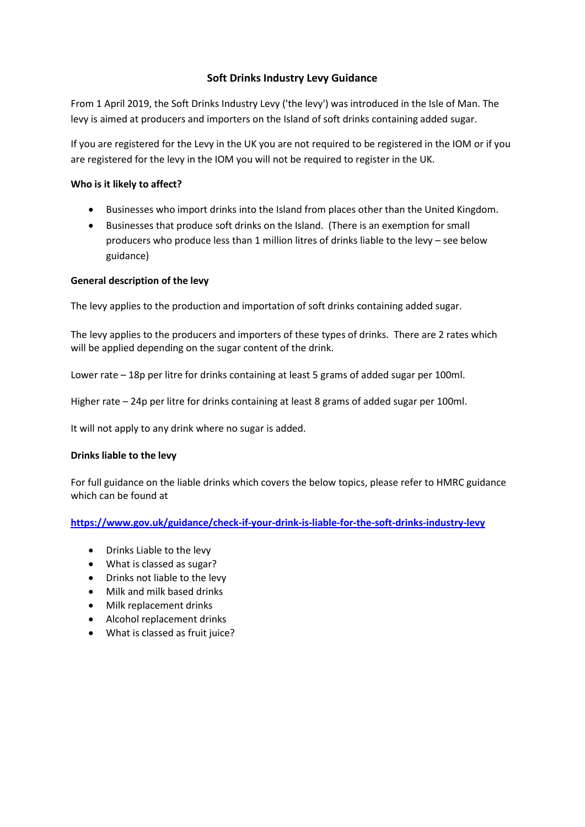# **Soft Drinks Industry Levy Guidance**

From 1 April 2019, the Soft Drinks Industry Levy ('the levy') was introduced in the Isle of Man. The levy is aimed at producers and importers on the Island of soft drinks containing added sugar.

If you are registered for the Levy in the UK you are not required to be registered in the IOM or if you are registered for the levy in the IOM you will not be required to register in the UK.

# **Who is it likely to affect?**

- Businesses who import drinks into the Island from places other than the United Kingdom.
- Businesses that produce soft drinks on the Island. (There is an exemption for small producers who produce less than 1 million litres of drinks liable to the levy – see below guidance)

# **General description of the levy**

The levy applies to the production and importation of soft drinks containing added sugar.

The levy applies to the producers and importers of these types of drinks. There are 2 rates which will be applied depending on the sugar content of the drink.

Lower rate – 18p per litre for drinks containing at least 5 grams of added sugar per 100ml.

Higher rate – 24p per litre for drinks containing at least 8 grams of added sugar per 100ml.

It will not apply to any drink where no sugar is added.

## **Drinks liable to the levy**

For full guidance on the liable drinks which covers the below topics, please refer to HMRC guidance which can be found at

**<https://www.gov.uk/guidance/check-if-your-drink-is-liable-for-the-soft-drinks-industry-levy>**

- Drinks Liable to the levy
- What is classed as sugar?
- Drinks not liable to the levy
- Milk and milk based drinks
- Milk replacement drinks
- Alcohol replacement drinks
- What is classed as fruit juice?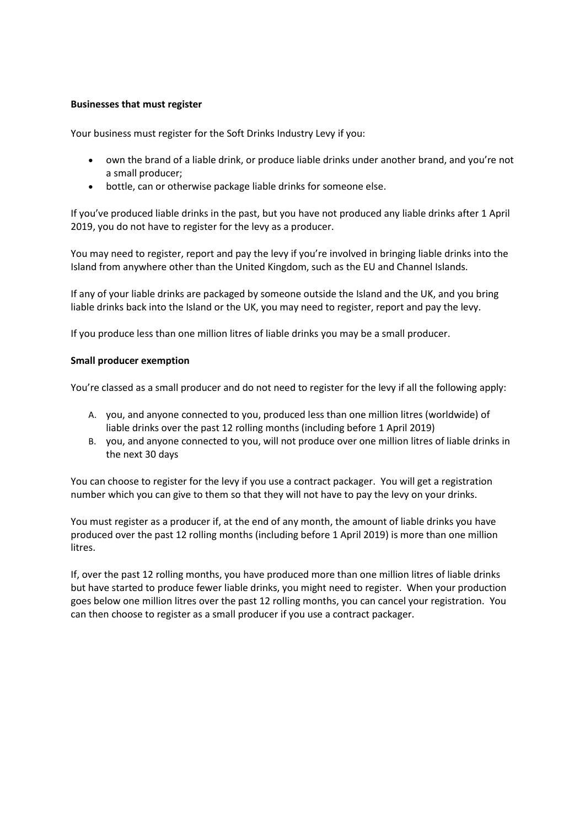## **Businesses that must register**

Your business must [register for the Soft Drinks Industry Levy](https://www.gov.uk/guidance/register-for-the-soft-drinks-industry-levy) if you:

- own the brand of [a liable drink](https://www.gov.uk/guidance/check-if-your-drink-is-liable-for-the-soft-drinks-industry-levy#liable-drinks), or produce liable drinks under another brand, and you're not a [small producer;](https://www.gov.uk/guidance/check-if-you-need-to-register-for-the-soft-drinks-industry-levy#small-producer)
- bottle, can or otherwise package liable drinks for someone else.

If you've produced liable drinks in the past, but you have not produced any liable drinks after 1 April 2019, you do not have to register for the levy as a producer.

You may need to register, report and pay the levy if you're involved in [bringing liable drinks into the](https://www.gov.uk/guidance/bringing-drinks-liable-for-the-soft-drinks-industry-levy-into-the-uk)  Island from anywhere other than the United Kingdom, such as the EU and Channel Islands.

If any of your liable drinks are packaged by someone outside the Island and the UK, and yo[u bring](https://www.gov.uk/guidance/bringing-drinks-liable-for-the-soft-drinks-industry-levy-into-the-uk)  [liable drinks back into the Island or the UK,](https://www.gov.uk/guidance/bringing-drinks-liable-for-the-soft-drinks-industry-levy-into-the-uk) you may need to register, report and pay the levy.

If you produce less than one million litres of liable drinks you may be a small producer.

## **Small producer exemption**

You're classed as a small producer and do not need to register for the levy if all the following apply:

- A. you, and [anyone connected to you,](https://www.gov.uk/guidance/check-if-you-need-to-register-for-the-soft-drinks-industry-levy#connected-persons) produced less than one million litres (worldwide) of liable drinks over the past 12 rolling months (including before 1 April 2019)
- B. you, and anyone connected to you, will not produce over one million litres of liable drinks in the next 30 days

You can choose to register for the levy if you use a contract packager. You will get a registration number which you can give to them so that they will not have to pay the levy on your drinks.

You must register as a producer if, at the end of any month, the amount of liable drinks you have produced over the past 12 rolling months (including before 1 April 2019) is more than one million litres.

If, over the past 12 rolling months, you have produced more than one million litres of liable drinks but have started to produce fewer liable drinks, you might need to register. When your production goes below one million litres over the past 12 rolling months, you can cancel your registration. You can then choose to register as a small producer if you use a contract packager.